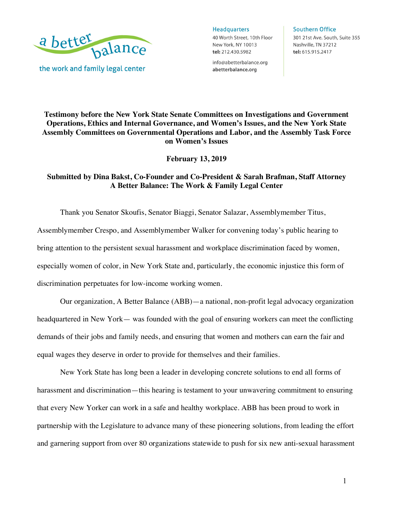

**Headquarters** 

40 Worth Street, 10th Floor New York, NY 10013 tel: 212.430.5982

info@abetterbalance.org abetterbalance.org

#### **Southern Office**

301 21st Ave. South, Suite 355 Nashville, TN 37212 tel: 615.915.2417

**Testimony before the New York State Senate Committees on Investigations and Government Operations, Ethics and Internal Governance, and Women's Issues, and the New York State Assembly Committees on Governmental Operations and Labor, and the Assembly Task Force on Women's Issues** 

**February 13, 2019**

### **Submitted by Dina Bakst, Co-Founder and Co-President & Sarah Brafman, Staff Attorney A Better Balance: The Work & Family Legal Center**

Thank you Senator Skoufis, Senator Biaggi, Senator Salazar, Assemblymember Titus, Assemblymember Crespo, and Assemblymember Walker for convening today's public hearing to bring attention to the persistent sexual harassment and workplace discrimination faced by women, especially women of color, in New York State and, particularly, the economic injustice this form of discrimination perpetuates for low-income working women.

Our organization, A Better Balance (ABB)—a national, non-profit legal advocacy organization headquartered in New York— was founded with the goal of ensuring workers can meet the conflicting demands of their jobs and family needs, and ensuring that women and mothers can earn the fair and equal wages they deserve in order to provide for themselves and their families.

New York State has long been a leader in developing concrete solutions to end all forms of harassment and discrimination—this hearing is testament to your unwavering commitment to ensuring that every New Yorker can work in a safe and healthy workplace. ABB has been proud to work in partnership with the Legislature to advance many of these pioneering solutions, from leading the effort and garnering support from over 80 organizations statewide to push for six new anti-sexual harassment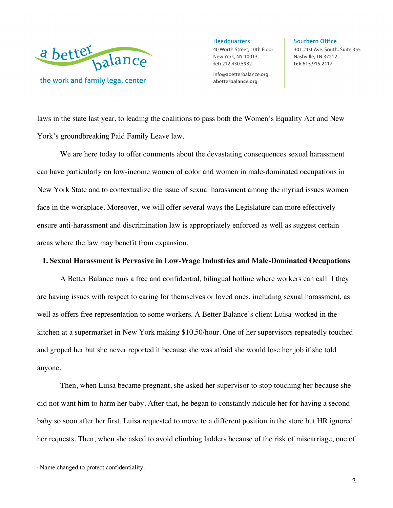

**Headquarters** 40 Worth Street, 10th Floor New York, NY 10013 tel: 212.430.5982

info@abetterbalance.org abetterbalance.org

**Southern Office** 301 21st Ave. South, Suite 355 Nashville, TN 37212 tel: 615.915.2417

laws in the state last year, to leading the coalitions to pass both the Women's Equality Act and New York's groundbreaking Paid Family Leave law.

We are here today to offer comments about the devastating consequences sexual harassment can have particularly on low-income women of color and women in male-dominated occupations in New York State and to contextualize the issue of sexual harassment among the myriad issues women face in the workplace. Moreover, we will offer several ways the Legislature can more effectively ensure anti-harassment and discrimination law is appropriately enforced as well as suggest certain areas where the law may benefit from expansion.

#### **I. Sexual Harassment is Pervasive in Low-Wage Industries and Male-Dominated Occupations**

A Better Balance runs a free and confidential, bilingual hotline where workers can call if they are having issues with respect to caring for themselves or loved ones, including sexual harassment, as well as offers free representation to some workers. A Better Balance's client Luisa worked in the kitchen at a supermarket in New York making \$10.50/hour. One of her supervisors repeatedly touched and groped her but she never reported it because she was afraid she would lose her job if she told anyone.

Then, when Luisa became pregnant, she asked her supervisor to stop touching her because she did not want him to harm her baby. After that, he began to constantly ridicule her for having a second baby so soon after her first. Luisa requested to move to a different position in the store but HR ignored her requests. Then, when she asked to avoid climbing ladders because of the risk of miscarriage, one of

<sup>1</sup> Name changed to protect confidentiality.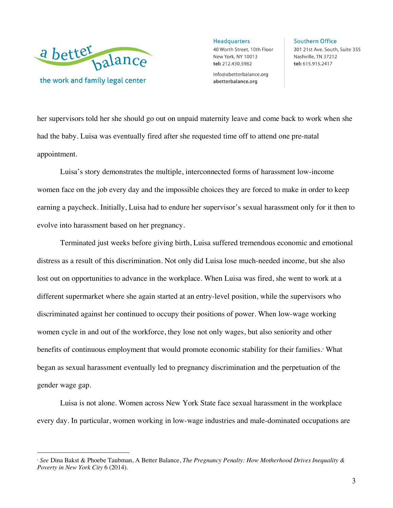

 $\overline{a}$ 

**Headquarters** 40 Worth Street, 10th Floor New York, NY 10013 tel: 212.430.5982

info@abetterbalance.org abetterbalance.org

**Southern Office** 301 21st Ave. South, Suite 355 Nashville, TN 37212 tel: 615.915.2417

her supervisors told her she should go out on unpaid maternity leave and come back to work when she had the baby. Luisa was eventually fired after she requested time off to attend one pre-natal appointment.

Luisa's story demonstrates the multiple, interconnected forms of harassment low-income women face on the job every day and the impossible choices they are forced to make in order to keep earning a paycheck. Initially, Luisa had to endure her supervisor's sexual harassment only for it then to evolve into harassment based on her pregnancy.

Terminated just weeks before giving birth, Luisa suffered tremendous economic and emotional distress as a result of this discrimination. Not only did Luisa lose much-needed income, but she also lost out on opportunities to advance in the workplace. When Luisa was fired, she went to work at a different supermarket where she again started at an entry-level position, while the supervisors who discriminated against her continued to occupy their positions of power. When low-wage working women cycle in and out of the workforce, they lose not only wages, but also seniority and other benefits of continuous employment that would promote economic stability for their families.<sup>2</sup> What began as sexual harassment eventually led to pregnancy discrimination and the perpetuation of the gender wage gap.

Luisa is not alone. Women across New York State face sexual harassment in the workplace every day. In particular, women working in low-wage industries and male-dominated occupations are

<sup>2</sup> *See* Dina Bakst & Phoebe Taubman, A Better Balance, *The Pregnancy Penalty: How Motherhood Drives Inequality & Poverty in New York City* 6 (2014).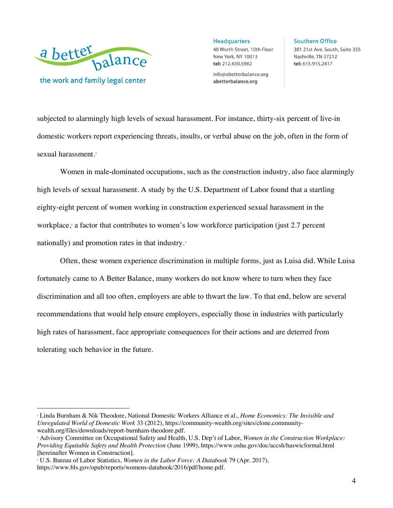

 $\overline{a}$ 

**Headquarters** 40 Worth Street, 10th Floor New York, NY 10013 tel: 212.430.5982

info@abetterbalance.org abetterbalance.org

**Southern Office** 301 21st Ave. South, Suite 355 Nashville, TN 37212 tel: 615.915.2417

subjected to alarmingly high levels of sexual harassment. For instance, thirty-six percent of live-in domestic workers report experiencing threats, insults, or verbal abuse on the job, often in the form of sexual harassment.<sup>3</sup>

Women in male-dominated occupations, such as the construction industry, also face alarmingly high levels of sexual harassment. A study by the U.S. Department of Labor found that a startling eighty-eight percent of women working in construction experienced sexual harassment in the workplace, <sup>4</sup> a factor that contributes to women's low workforce participation (just 2.7 percent nationally) and promotion rates in that industry.<sup>5</sup>

Often, these women experience discrimination in multiple forms, just as Luisa did. While Luisa fortunately came to A Better Balance, many workers do not know where to turn when they face discrimination and all too often, employers are able to thwart the law. To that end, below are several recommendations that would help ensure employers, especially those in industries with particularly high rates of harassment, face appropriate consequences for their actions and are deterred from tolerating such behavior in the future.

<sup>3</sup> Linda Burnham & Nik Theodore, National Domestic Workers Alliance et al., *Home Economics: The Invisible and Unregulated World of Domestic Work* 33 (2012), https://community-wealth.org/sites/clone.community-

wealth.org/files/downloads/report-burnham-theodore.pdf. 4 Advisory Committee on Occupational Safety and Health, U.S. Dep't of Labor, *Women in the Construction Workplace: Providing Equitable Safety and Health Protection* (June 1999), https://www.osha.gov/doc/accsh/haswicformal.html [hereinafter Women in Construction]. 5 U.S. Bureau of Labor Statistics, *Women in the Labor Force: A Databook* 79 (Apr. 2017),

https://www.bls.gov/opub/reports/womens-databook/2016/pdf/home.pdf.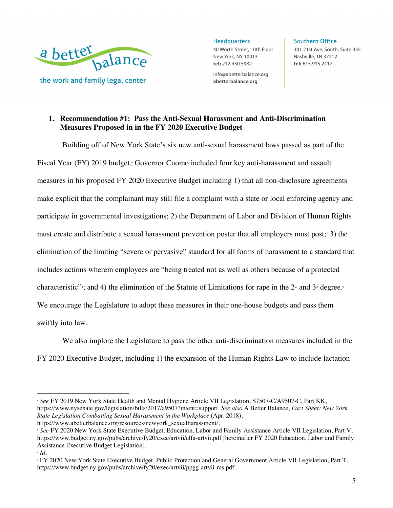

**Headquarters** 40 Worth Street, 10th Floor New York, NY 10013 tel: 212.430.5982

info@abetterbalance.org abetterbalance.org

**Southern Office** 301 21st Ave. South, Suite 355 Nashville, TN 37212 tel: 615.915.2417

## **1. Recommendation #1: Pass the Anti-Sexual Harassment and Anti-Discrimination Measures Proposed in in the FY 2020 Executive Budget**

Building off of New York State's six new anti-sexual harassment laws passed as part of the Fiscal Year (FY) 2019 budget, <sup>6</sup> Governor Cuomo included four key anti-harassment and assault measures in his proposed FY 2020 Executive Budget including 1) that all non-disclosure agreements make explicit that the complainant may still file a complaint with a state or local enforcing agency and participate in governmental investigations; 2) the Department of Labor and Division of Human Rights must create and distribute a sexual harassment prevention poster that all employers must post;7 3) the elimination of the limiting "severe or pervasive" standard for all forms of harassment to a standard that includes actions wherein employees are "being treated not as well as others because of a protected characteristic": and 4) the elimination of the Statute of Limitations for rape in the 2<sup>1d</sup> and 3<sup>d</sup> degree. We encourage the Legislature to adopt these measures in their one-house budgets and pass them swiftly into law.

We also implore the Legislature to pass the other anti-discrimination measures included in the FY 2020 Executive Budget, including 1) the expansion of the Human Rights Law to include lactation

<sup>6</sup> *See* FY 2019 New York State Health and Mental Hygiene Article VII Legislation, S7507-C/A9507-C, Part KK, https://www.nysenate.gov/legislation/bills/2017/a9507?intent=support. *See also* A Better Balance, *Fact Sheet: New York State Legislation Combatting Sexual Harassment in the Workplace* (Apr. 2018),

https://www.abetterbalance.org/resources/newyork\_sexualharassment/.<br>*7 See FY 2020 New York State Executive Budget, Education, Labor and Family Assistance Article VII Legislation, Part V,* https://www.budget.ny.gov/pubs/archive/fy20/exec/artvii/elfa-artvii.pdf [hereinafter FY 2020 Education, Labor and Family Assistance Executive Budget Legislation].<br>*M Id.* 

<sup>9</sup> FY 2020 New York State Executive Budget, Public Protection and General Government Article VII Legislation, Part T, https://www.budget.ny.gov/pubs/archive/fy20/exec/artvii/ppgg-artvii-ms.pdf.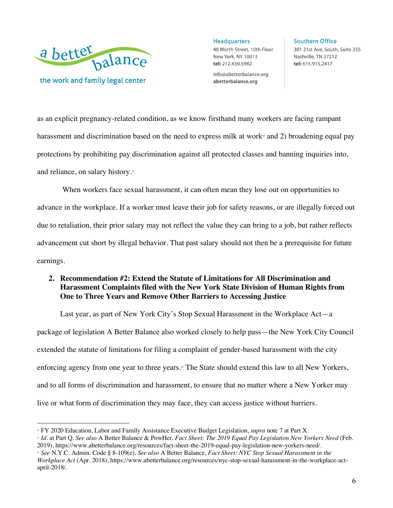

 $\overline{a}$ 

**Headquarters** 40 Worth Street, 10th Floor New York, NY 10013 tel: 212.430.5982

info@abetterbalance.org abetterbalance.org

**Southern Office** 301 21st Ave. South, Suite 355 Nashville, TN 37212 tel: 615.915.2417

as an explicit pregnancy-related condition, as we know firsthand many workers are facing rampant harassment and discrimination based on the need to express milk at work<sup> $0$ </sup> and 2) broadening equal pay protections by prohibiting pay discrimination against all protected classes and banning inquiries into, and reliance, on salary history.<sup>11</sup>

When workers face sexual harassment, it can often mean they lose out on opportunities to advance in the workplace. If a worker must leave their job for safety reasons, or are illegally forced out due to retaliation, their prior salary may not reflect the value they can bring to a job, but rather reflects advancement cut short by illegal behavior. That past salary should not then be a prerequisite for future earnings.

# **2. Recommendation #2: Extend the Statute of Limitations for All Discrimination and Harassment Complaints filed with the New York State Division of Human Rights from One to Three Years and Remove Other Barriers to Accessing Justice**

Last year, as part of New York City's Stop Sexual Harassment in the Workplace Act—a package of legislation A Better Balance also worked closely to help pass—the New York City Council extended the statute of limitations for filing a complaint of gender-based harassment with the city enforcing agency from one year to three years.12 The State should extend this law to all New Yorkers, and to all forms of discrimination and harassment, to ensure that no matter where a New Yorker may live or what form of discrimination they may face, they can access justice without barriers.

" FY 2020 Education, Labor and Family Assistance Executive Budget Legislation, *supra* note 7 at Part X.<br>"Id. at Part Q. See also A Better Balance & PowHer, *Fact Sheet: The 2019 Equal Pay Legislation New Yorkers Need* (Fe 2019), https://www.abetterbalance.org/resources/fact-sheet-the-2019-equal-pay-legislation-new-yorkers-need/.<br><sup>12</sup> See N.Y.C. Admin. Code § 8-109(e). See also A Better Balance, Fact Sheet: NYC Stop Sexual Harassment in the

*Workplace Act* (Apr. 2018), https://www.abetterbalance.org/resources/nyc-stop-sexual-harassment-in-the-workplace-actapril-2018/.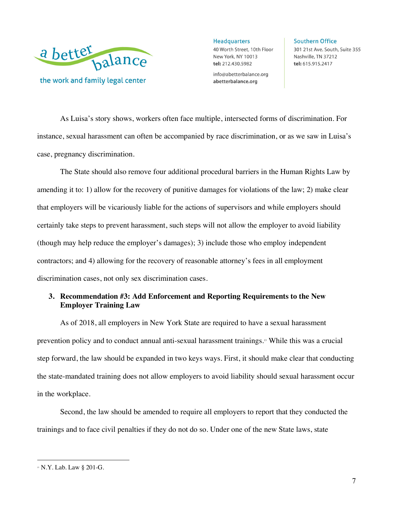

Headquarters 40 Worth Street, 10th Floor New York, NY 10013 tel: 212.430.5982

info@abetterbalance.org abetterbalance.org

**Southern Office** 301 21st Ave. South, Suite 355 Nashville, TN 37212 tel: 615.915.2417

As Luisa's story shows, workers often face multiple, intersected forms of discrimination. For instance, sexual harassment can often be accompanied by race discrimination, or as we saw in Luisa's case, pregnancy discrimination.

The State should also remove four additional procedural barriers in the Human Rights Law by amending it to: 1) allow for the recovery of punitive damages for violations of the law; 2) make clear that employers will be vicariously liable for the actions of supervisors and while employers should certainly take steps to prevent harassment, such steps will not allow the employer to avoid liability (though may help reduce the employer's damages); 3) include those who employ independent contractors; and 4) allowing for the recovery of reasonable attorney's fees in all employment discrimination cases, not only sex discrimination cases.

### **3. Recommendation #3: Add Enforcement and Reporting Requirements to the New Employer Training Law**

As of 2018, all employers in New York State are required to have a sexual harassment prevention policy and to conduct annual anti-sexual harassment trainings.13 While this was a crucial step forward, the law should be expanded in two keys ways. First, it should make clear that conducting the state-mandated training does not allow employers to avoid liability should sexual harassment occur in the workplace.

Second, the law should be amended to require all employers to report that they conducted the trainings and to face civil penalties if they do not do so. Under one of the new State laws, state

<sup>&</sup>lt;sup>13</sup> N.Y. Lab. Law § 201-G.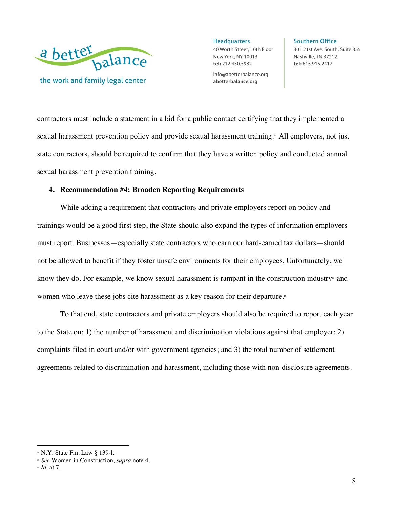

**Headquarters** 40 Worth Street, 10th Floor New York, NY 10013 tel: 212.430.5982

info@abetterbalance.org abetterbalance.org

**Southern Office** 301 21st Ave. South, Suite 355 Nashville, TN 37212 tel: 615.915.2417

contractors must include a statement in a bid for a public contact certifying that they implemented a sexual harassment prevention policy and provide sexual harassment training.<sup>14</sup> All employers, not just state contractors, should be required to confirm that they have a written policy and conducted annual sexual harassment prevention training.

#### **4. Recommendation #4: Broaden Reporting Requirements**

While adding a requirement that contractors and private employers report on policy and trainings would be a good first step, the State should also expand the types of information employers must report. Businesses—especially state contractors who earn our hard-earned tax dollars—should not be allowed to benefit if they foster unsafe environments for their employees. Unfortunately, we know they do. For example, we know sexual harassment is rampant in the construction industry<sup>15</sup> and women who leave these jobs cite harassment as a key reason for their departure.<sup>16</sup>

To that end, state contractors and private employers should also be required to report each year to the State on: 1) the number of harassment and discrimination violations against that employer; 2) complaints filed in court and/or with government agencies; and 3) the total number of settlement agreements related to discrimination and harassment, including those with non-disclosure agreements.

<sup>14</sup> N.Y. State Fin. Law § 139-l. 15 *See* Women in Construction, *supra* note 4. 16 *Id.* at 7.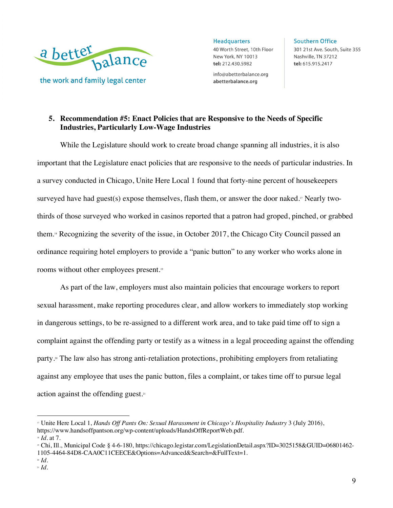

**Headquarters** 40 Worth Street, 10th Floor New York, NY 10013 tel: 212.430.5982

info@abetterbalance.org abetterbalance.org

**Southern Office** 301 21st Ave. South, Suite 355 Nashville, TN 37212 tel: 615.915.2417

# **5. Recommendation #5: Enact Policies that are Responsive to the Needs of Specific Industries, Particularly Low-Wage Industries**

While the Legislature should work to create broad change spanning all industries, it is also important that the Legislature enact policies that are responsive to the needs of particular industries. In a survey conducted in Chicago, Unite Here Local 1 found that forty-nine percent of housekeepers surveyed have had guest(s) expose themselves, flash them, or answer the door naked.<sup> $n$ </sup> Nearly twothirds of those surveyed who worked in casinos reported that a patron had groped, pinched, or grabbed them.18 Recognizing the severity of the issue, in October 2017, the Chicago City Council passed an ordinance requiring hotel employers to provide a "panic button" to any worker who works alone in rooms without other employees present.19

As part of the law, employers must also maintain policies that encourage workers to report sexual harassment, make reporting procedures clear, and allow workers to immediately stop working in dangerous settings, to be re-assigned to a different work area, and to take paid time off to sign a complaint against the offending party or testify as a witness in a legal proceeding against the offending party.<sup>20</sup> The law also has strong anti-retaliation protections, prohibiting employers from retaliating against any employee that uses the panic button, files a complaint, or takes time off to pursue legal action against the offending guest.21

1105-4464-84D8-CAA0C11CEECE&Options=Advanced&Search=&FullText=1. <sup>20</sup> *Id.* 

<sup>&</sup>lt;sup>17</sup> Unite Here Local 1, *Hands Off Pants On: Sexual Harassment in Chicago's Hospitality Industry* 3 (July 2016), https://www.handsoffpantson.org/wp-content/uploads/HandsOffReportWeb.pdf.

<sup>&</sup>lt;sup>»</sup> *Id.* at 7.<br><sup>»</sup> Chi, Ill., Municipal Code § 4-6-180, https://chicago.legistar.com/LegislationDetail.aspx?ID=3025158&GUID=06801462-

<sup>21</sup> *Id.*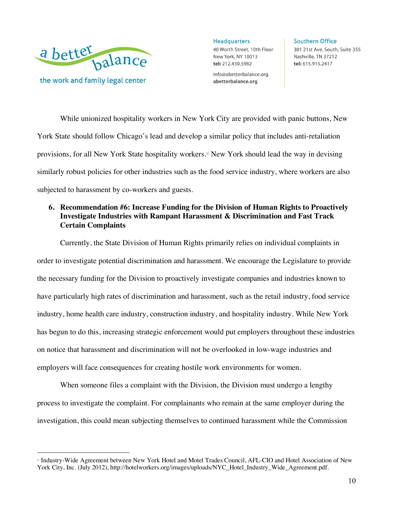

 $\overline{a}$ 

Headquarters 40 Worth Street, 10th Floor New York, NY 10013 tel: 212.430.5982

info@abetterbalance.org abetterbalance.org

**Southern Office** 301 21st Ave. South, Suite 355 Nashville, TN 37212 tel: 615.915.2417

While unionized hospitality workers in New York City are provided with panic buttons, New York State should follow Chicago's lead and develop a similar policy that includes anti-retaliation provisions, for all New York State hospitality workers.22 New York should lead the way in devising similarly robust policies for other industries such as the food service industry, where workers are also subjected to harassment by co-workers and guests.

# **6. Recommendation #6: Increase Funding for the Division of Human Rights to Proactively Investigate Industries with Rampant Harassment & Discrimination and Fast Track Certain Complaints**

Currently, the State Division of Human Rights primarily relies on individual complaints in order to investigate potential discrimination and harassment. We encourage the Legislature to provide the necessary funding for the Division to proactively investigate companies and industries known to have particularly high rates of discrimination and harassment, such as the retail industry, food service industry, home health care industry, construction industry, and hospitality industry. While New York has begun to do this, increasing strategic enforcement would put employers throughout these industries on notice that harassment and discrimination will not be overlooked in low-wage industries and employers will face consequences for creating hostile work environments for women.

When someone files a complaint with the Division, the Division must undergo a lengthy process to investigate the complaint. For complainants who remain at the same employer during the investigation, this could mean subjecting themselves to continued harassment while the Commission

<sup>22</sup> Industry-Wide Agreement between New York Hotel and Motel Trades Council, AFL-CIO and Hotel Association of New York City, Inc. (July 2012), http://hotelworkers.org/images/uploads/NYC\_Hotel\_Industry\_Wide\_Agreement.pdf.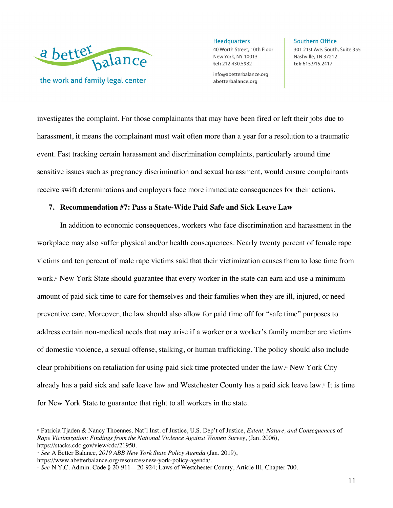

**Headquarters** 40 Worth Street, 10th Floor New York, NY 10013 tel: 212.430.5982

info@abetterbalance.org abetterbalance.org

**Southern Office** 301 21st Ave. South, Suite 355 Nashville, TN 37212 tel: 615.915.2417

investigates the complaint. For those complainants that may have been fired or left their jobs due to harassment, it means the complainant must wait often more than a year for a resolution to a traumatic event. Fast tracking certain harassment and discrimination complaints, particularly around time sensitive issues such as pregnancy discrimination and sexual harassment, would ensure complainants receive swift determinations and employers face more immediate consequences for their actions.

#### **7. Recommendation #7: Pass a State-Wide Paid Safe and Sick Leave Law**

In addition to economic consequences, workers who face discrimination and harassment in the workplace may also suffer physical and/or health consequences. Nearly twenty percent of female rape victims and ten percent of male rape victims said that their victimization causes them to lose time from work.<sup>23</sup> New York State should guarantee that every worker in the state can earn and use a minimum amount of paid sick time to care for themselves and their families when they are ill, injured, or need preventive care. Moreover, the law should also allow for paid time off for "safe time" purposes to address certain non-medical needs that may arise if a worker or a worker's family member are victims of domestic violence, a sexual offense, stalking, or human trafficking. The policy should also include clear prohibitions on retaliation for using paid sick time protected under the law.24 New York City already has a paid sick and safe leave law and Westchester County has a paid sick leave law.25 It is time for New York State to guarantee that right to all workers in the state.

<sup>23</sup> Patricia Tjaden & Nancy Thoennes*,* Nat'l Inst. of Justice, U.S. Dep't of Justice, *Extent, Nature, and Consequence*s of *Rape Victimization: Findings from the National Violence Against Women Survey*, (Jan. 2006), https://stacks.cdc.gov/view/cdc/21950. 24 *See* A Better Balance, *2019 ABB New York State Policy Agenda* (Jan. 2019),

https://www.abetterbalance.org/resources/new-york-policy-agenda/. 25 *See* N.Y.C. Admin. Code § 20-911—20-924; Laws of Westchester County, Article III, Chapter 700.